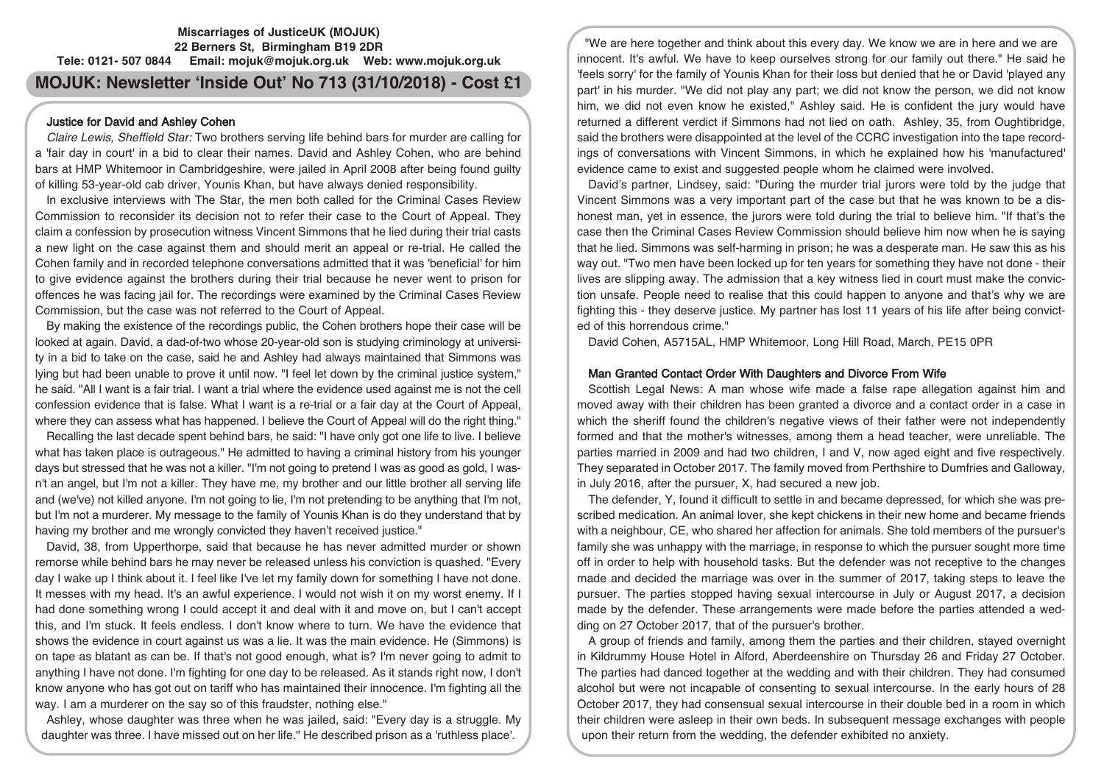# **Miscarriages of JusticeUK (MOJUK) 22 Berners St, Birmingham B19 2DR Tele: 0121- 507 0844 Email: mojuk@mojuk.org.uk Web: www.mojuk.org.uk**

# **MOJUK: Newsletter 'Inside Out' No 713 (31/10/2018) - Cost £1**

# Justice for David and Ashley Cohen

Claire Lewis, Sheffield Star: Two brothers serving life behind bars for murder are calling for a 'fair day in court' in a bid to clear their names. David and Ashley Cohen, who are behind bars at HMP Whitemoor in Cambridgeshire, were jailed in April 2008 after being found guilty of killing 53-year-old cab driver, Younis Khan, but have always denied responsibility.

In exclusive interviews with The Star, the men both called for the Criminal Cases Review Commission to reconsider its decision not to refer their case to the Court of Appeal. They claim a confession by prosecution witness Vincent Simmons that he lied during their trial casts a new light on the case against them and should merit an appeal or re-trial. He called the Cohen family and in recorded telephone conversations admitted that it was 'beneficial' for him to give evidence against the brothers during their trial because he never went to prison for offences he was facing jail for. The recordings were examined by the Criminal Cases Review Commission, but the case was not referred to the Court of Appeal.

By making the existence of the recordings public, the Cohen brothers hope their case will be looked at again. David, a dad-of-two whose 20-year-old son is studying criminology at university in a bid to take on the case, said he and Ashley had always maintained that Simmons was lying but had been unable to prove it until now. "I feel let down by the criminal justice system," he said. "All I want is a fair trial. I want a trial where the evidence used against me is not the cell confession evidence that is false. What I want is a re-trial or a fair day at the Court of Appeal, where they can assess what has happened. I believe the Court of Appeal will do the right thing."

Recalling the last decade spent behind bars, he said: "I have only got one life to live. I believe what has taken place is outrageous." He admitted to having a criminal history from his younger days but stressed that he was not a killer. "I'm not going to pretend I was as good as gold, I wasn't an angel, but I'm not a killer. They have me, my brother and our little brother all serving life and (we've) not killed anyone. I'm not going to lie, I'm not pretending to be anything that I'm not, but I'm not a murderer. My message to the family of Younis Khan is do they understand that by having my brother and me wrongly convicted they haven't received justice."

David, 38, from Upperthorpe, said that because he has never admitted murder or shown remorse while behind bars he may never be released unless his conviction is quashed. "Every day I wake up I think about it. I feel like I've let my family down for something I have not done. It messes with my head. It's an awful experience. I would not wish it on my worst enemy. If I had done something wrong I could accept it and deal with it and move on, but I can't accept this, and I'm stuck. It feels endless. I don't know where to turn. We have the evidence that shows the evidence in court against us was a lie. It was the main evidence. He (Simmons) is on tape as blatant as can be. If that's not good enough, what is? I'm never going to admit to anything I have not done. I'm fighting for one day to be released. As it stands right now, I don't know anyone who has got out on tariff who has maintained their innocence. I'm fighting all the way. I am a murderer on the say so of this fraudster, nothing else."

Ashley, whose daughter was three when he was jailed, said: "Every day is a struggle. My daughter was three. I have missed out on her life." He described prison as a 'ruthless place'.

"We are here together and think about this every day. We know we are in here and we are innocent. It's awful. We have to keep ourselves strong for our family out there." He said he 'feels sorry' for the family of Younis Khan for their loss but denied that he or David 'played any part' in his murder. "We did not play any part; we did not know the person, we did not know him, we did not even know he existed," Ashley said. He is confident the jury would have returned a different verdict if Simmons had not lied on oath. Ashley, 35, from Oughtibridge, said the brothers were disappointed at the level of the CCRC investigation into the tape recordings of conversations with Vincent Simmons, in which he explained how his 'manufactured' evidence came to exist and suggested people whom he claimed were involved.

David's partner, Lindsey, said: "During the murder trial jurors were told by the judge that Vincent Simmons was a very important part of the case but that he was known to be a dishonest man, yet in essence, the jurors were told during the trial to believe him. "If that's the case then the Criminal Cases Review Commission should believe him now when he is saying that he lied. Simmons was self-harming in prison; he was a desperate man. He saw this as his way out. "Two men have been locked up for ten years for something they have not done - their lives are slipping away. The admission that a key witness lied in court must make the conviction unsafe. People need to realise that this could happen to anyone and that's why we are fighting this - they deserve justice. My partner has lost 11 years of his life after being convicted of this horrendous crime."

David Cohen, A5715AL, HMP Whitemoor, Long Hill Road, March, PE15 0PR

# Man Granted Contact Order With Daughters and Divorce From Wife

Scottish Legal News: A man whose wife made a false rape allegation against him and moved away with their children has been granted a divorce and a contact order in a case in which the sheriff found the children's negative views of their father were not independently formed and that the mother's witnesses, among them a head teacher, were unreliable. The parties married in 2009 and had two children, I and V, now aged eight and five respectively. They separated in October 2017. The family moved from Perthshire to Dumfries and Galloway, in July 2016, after the pursuer, X, had secured a new job.

The defender, Y, found it difficult to settle in and became depressed, for which she was prescribed medication. An animal lover, she kept chickens in their new home and became friends with a neighbour, CE, who shared her affection for animals. She told members of the pursuer's family she was unhappy with the marriage, in response to which the pursuer sought more time off in order to help with household tasks. But the defender was not receptive to the changes made and decided the marriage was over in the summer of 2017, taking steps to leave the pursuer. The parties stopped having sexual intercourse in July or August 2017, a decision made by the defender. These arrangements were made before the parties attended a wedding on 27 October 2017, that of the pursuer's brother.

A group of friends and family, among them the parties and their children, stayed overnight in Kildrummy House Hotel in Alford, Aberdeenshire on Thursday 26 and Friday 27 October. The parties had danced together at the wedding and with their children. They had consumed alcohol but were not incapable of consenting to sexual intercourse. In the early hours of 28 October 2017, they had consensual sexual intercourse in their double bed in a room in which their children were asleep in their own beds. In subsequent message exchanges with people upon their return from the wedding, the defender exhibited no anxiety.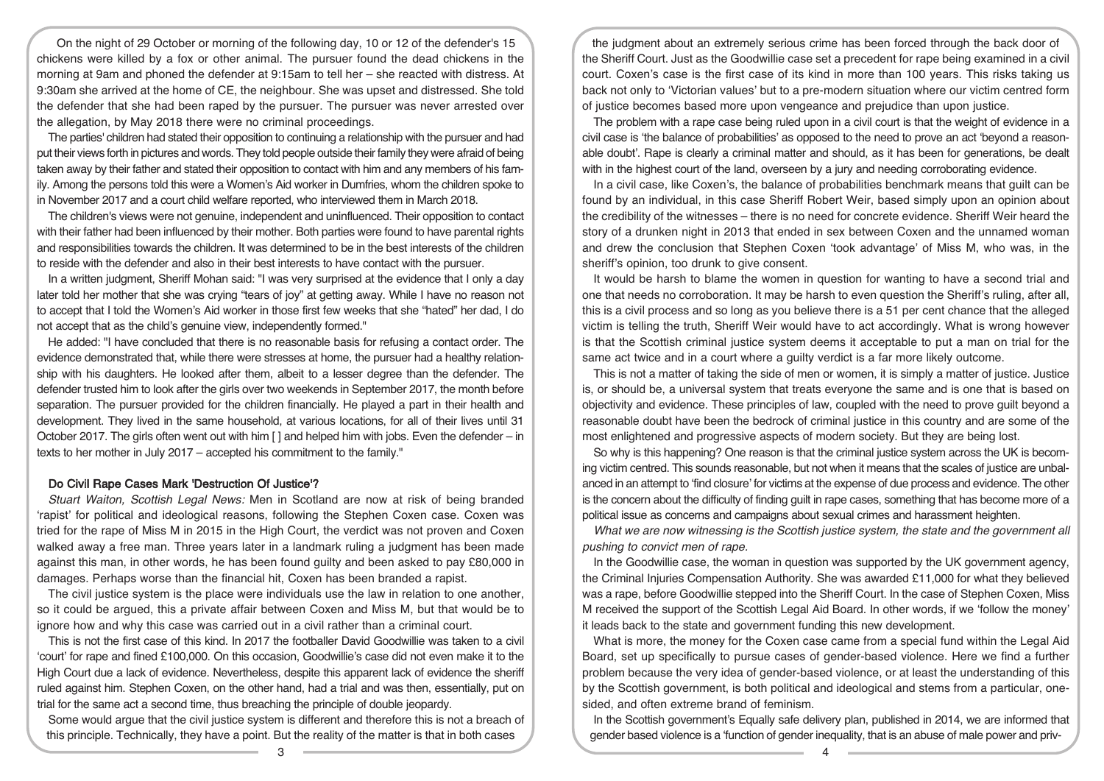On the night of 29 October or morning of the following day, 10 or 12 of the defender's 15 chickens were killed by a fox or other animal. The pursuer found the dead chickens in the morning at 9am and phoned the defender at 9:15am to tell her – she reacted with distress. At 9:30am she arrived at the home of CE, the neighbour. She was upset and distressed. She told the defender that she had been raped by the pursuer. The pursuer was never arrested over the allegation, by May 2018 there were no criminal proceedings.

The parties' children had stated their opposition to continuing a relationship with the pursuer and had put their views forth in pictures and words. They told people outside their family they were afraid of being taken away by their father and stated their opposition to contact with him and any members of his family. Among the persons told this were a Women's Aid worker in Dumfries, whom the children spoke to in November 2017 and a court child welfare reported, who interviewed them in March 2018.

The children's views were not genuine, independent and uninfluenced. Their opposition to contact with their father had been influenced by their mother. Both parties were found to have parental rights and responsibilities towards the children. It was determined to be in the best interests of the children to reside with the defender and also in their best interests to have contact with the pursuer.

In a written judgment, Sheriff Mohan said: "I was very surprised at the evidence that I only a day later told her mother that she was crying "tears of joy" at getting away. While I have no reason not to accept that I told the Women's Aid worker in those first few weeks that she "hated" her dad, I do not accept that as the child's genuine view, independently formed."

He added: "I have concluded that there is no reasonable basis for refusing a contact order. The evidence demonstrated that, while there were stresses at home, the pursuer had a healthy relationship with his daughters. He looked after them, albeit to a lesser degree than the defender. The defender trusted him to look after the girls over two weekends in September 2017, the month before separation. The pursuer provided for the children financially. He played a part in their health and development. They lived in the same household, at various locations, for all of their lives until 31 October 2017. The girls often went out with him [ ] and helped him with jobs. Even the defender – in texts to her mother in July 2017 – accepted his commitment to the family."

#### Do Civil Rape Cases Mark 'Destruction Of Justice'?

Stuart Waiton, Scottish Legal News: Men in Scotland are now at risk of being branded 'rapist' for political and ideological reasons, following the Stephen Coxen case. Coxen was tried for the rape of Miss M in 2015 in the High Court, the verdict was not proven and Coxen walked away a free man. Three years later in a landmark ruling a judgment has been made against this man, in other words, he has been found guilty and been asked to pay £80,000 in damages. Perhaps worse than the financial hit, Coxen has been branded a rapist.

The civil justice system is the place were individuals use the law in relation to one another, so it could be argued, this a private affair between Coxen and Miss M, but that would be to ignore how and why this case was carried out in a civil rather than a criminal court.

This is not the first case of this kind. In 2017 the footballer David Goodwillie was taken to a civil 'court' for rape and fined £100,000. On this occasion, Goodwillie's case did not even make it to the High Court due a lack of evidence. Nevertheless, despite this apparent lack of evidence the sheriff ruled against him. Stephen Coxen, on the other hand, had a trial and was then, essentially, put on trial for the same act a second time, thus breaching the principle of double jeopardy.

Some would argue that the civil justice system is different and therefore this is not a breach of this principle. Technically, they have a point. But the reality of the matter is that in both cases

the judgment about an extremely serious crime has been forced through the back door of the Sheriff Court. Just as the Goodwillie case set a precedent for rape being examined in a civil court. Coxen's case is the first case of its kind in more than 100 years. This risks taking us back not only to 'Victorian values' but to a pre-modern situation where our victim centred form of justice becomes based more upon vengeance and prejudice than upon justice.

The problem with a rape case being ruled upon in a civil court is that the weight of evidence in a civil case is 'the balance of probabilities' as opposed to the need to prove an act 'beyond a reasonable doubt'. Rape is clearly a criminal matter and should, as it has been for generations, be dealt with in the highest court of the land, overseen by a jury and needing corroborating evidence.

In a civil case, like Coxen's, the balance of probabilities benchmark means that guilt can be found by an individual, in this case Sheriff Robert Weir, based simply upon an opinion about the credibility of the witnesses – there is no need for concrete evidence. Sheriff Weir heard the story of a drunken night in 2013 that ended in sex between Coxen and the unnamed woman and drew the conclusion that Stephen Coxen 'took advantage' of Miss M, who was, in the sheriff's opinion, too drunk to give consent.

It would be harsh to blame the women in question for wanting to have a second trial and one that needs no corroboration. It may be harsh to even question the Sheriff's ruling, after all, this is a civil process and so long as you believe there is a 51 per cent chance that the alleged victim is telling the truth, Sheriff Weir would have to act accordingly. What is wrong however is that the Scottish criminal justice system deems it acceptable to put a man on trial for the same act twice and in a court where a guilty verdict is a far more likely outcome.

This is not a matter of taking the side of men or women, it is simply a matter of justice. Justice is, or should be, a universal system that treats everyone the same and is one that is based on objectivity and evidence. These principles of law, coupled with the need to prove guilt beyond a reasonable doubt have been the bedrock of criminal justice in this country and are some of the most enlightened and progressive aspects of modern society. But they are being lost.

So why is this happening? One reason is that the criminal justice system across the UK is becoming victim centred. This sounds reasonable, but not when it means that the scales of justice are unbalanced in an attempt to 'find closure' for victims at the expense of due process and evidence. The other is the concern about the difficulty of finding guilt in rape cases, something that has become more of a political issue as concerns and campaigns about sexual crimes and harassment heighten.

What we are now witnessing is the Scottish justice system, the state and the government all pushing to convict men of rape.

In the Goodwillie case, the woman in question was supported by the UK government agency, the Criminal Injuries Compensation Authority. She was awarded £11,000 for what they believed was a rape, before Goodwillie stepped into the Sheriff Court. In the case of Stephen Coxen, Miss M received the support of the Scottish Legal Aid Board. In other words, if we 'follow the money' it leads back to the state and government funding this new development.

What is more, the money for the Coxen case came from a special fund within the Legal Aid Board, set up specifically to pursue cases of gender-based violence. Here we find a further problem because the very idea of gender-based violence, or at least the understanding of this by the Scottish government, is both political and ideological and stems from a particular, onesided, and often extreme brand of feminism.

In the Scottish government's Equally safe delivery plan, published in 2014, we are informed that gender based violence is a 'function of gender inequality, that is an abuse of male power and priv-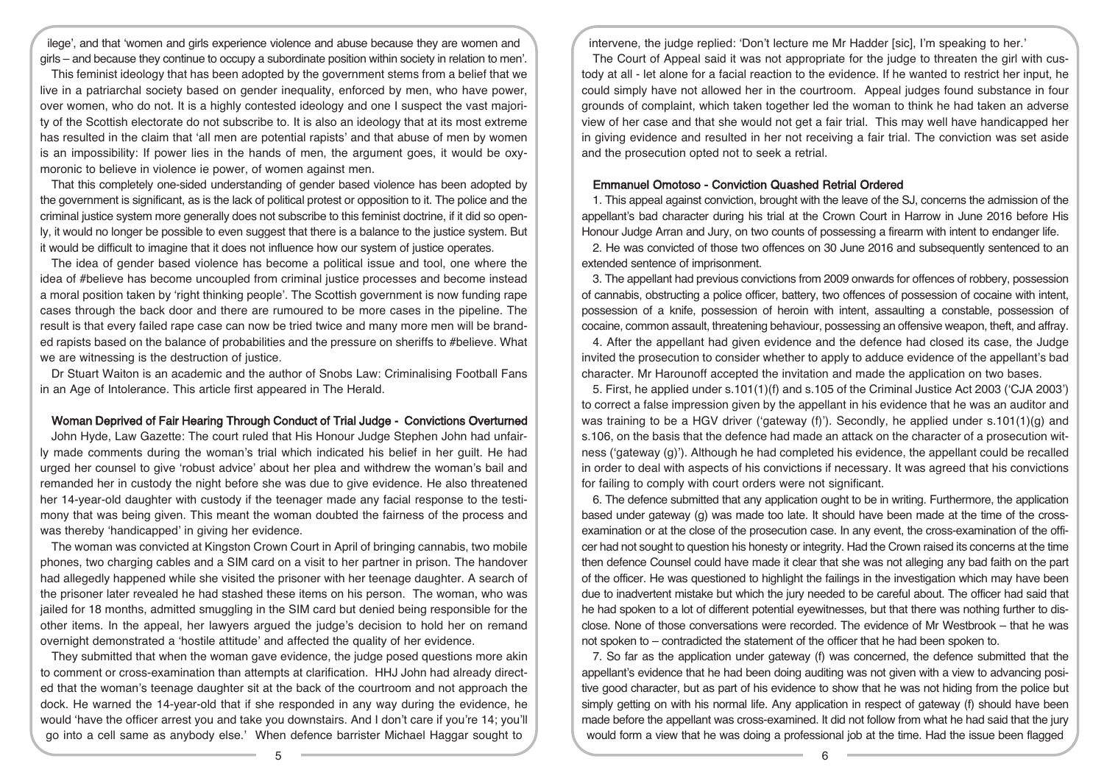ilege', and that 'women and girls experience violence and abuse because they are women and girls – and because they continue to occupy a subordinate position within society in relation to men'.

This feminist ideology that has been adopted by the government stems from a belief that we live in a patriarchal society based on gender inequality, enforced by men, who have power, over women, who do not. It is a highly contested ideology and one I suspect the vast majority of the Scottish electorate do not subscribe to. It is also an ideology that at its most extreme has resulted in the claim that 'all men are potential rapists' and that abuse of men by women is an impossibility: If power lies in the hands of men, the argument goes, it would be oxymoronic to believe in violence ie power, of women against men.

That this completely one-sided understanding of gender based violence has been adopted by the government is significant, as is the lack of political protest or opposition to it. The police and the criminal justice system more generally does not subscribe to this feminist doctrine, if it did so openly, it would no longer be possible to even suggest that there is a balance to the justice system. But it would be difficult to imagine that it does not influence how our system of justice operates.

The idea of gender based violence has become a political issue and tool, one where the idea of #believe has become uncoupled from criminal justice processes and become instead a moral position taken by 'right thinking people'. The Scottish government is now funding rape cases through the back door and there are rumoured to be more cases in the pipeline. The result is that every failed rape case can now be tried twice and many more men will be branded rapists based on the balance of probabilities and the pressure on sheriffs to #believe. What we are witnessing is the destruction of justice.

Dr Stuart Waiton is an academic and the author of Snobs Law: Criminalising Football Fans in an Age of Intolerance. This article first appeared in The Herald.

#### Woman Deprived of Fair Hearing Through Conduct of Trial Judge - Convictions Overturned

John Hyde, Law Gazette: The court ruled that His Honour Judge Stephen John had unfairly made comments during the woman's trial which indicated his belief in her guilt. He had urged her counsel to give 'robust advice' about her plea and withdrew the woman's bail and remanded her in custody the night before she was due to give evidence. He also threatened her 14-year-old daughter with custody if the teenager made any facial response to the testimony that was being given. This meant the woman doubted the fairness of the process and was thereby 'handicapped' in giving her evidence.

The woman was convicted at Kingston Crown Court in April of bringing cannabis, two mobile phones, two charging cables and a SIM card on a visit to her partner in prison. The handover had allegedly happened while she visited the prisoner with her teenage daughter. A search of the prisoner later revealed he had stashed these items on his person. The woman, who was jailed for 18 months, admitted smuggling in the SIM card but denied being responsible for the other items. In the appeal, her lawyers argued the judge's decision to hold her on remand overnight demonstrated a 'hostile attitude' and affected the quality of her evidence.

They submitted that when the woman gave evidence, the judge posed questions more akin to comment or cross-examination than attempts at clarification. HHJ John had already directed that the woman's teenage daughter sit at the back of the courtroom and not approach the dock. He warned the 14-year-old that if she responded in any way during the evidence, he would 'have the officer arrest you and take you downstairs. And I don't care if you're 14; you'll go into a cell same as anybody else.' When defence barrister Michael Haggar sought to

intervene, the judge replied: 'Don't lecture me Mr Hadder [sic], I'm speaking to her.'

The Court of Appeal said it was not appropriate for the judge to threaten the girl with custody at all - let alone for a facial reaction to the evidence. If he wanted to restrict her input, he could simply have not allowed her in the courtroom. Appeal judges found substance in four grounds of complaint, which taken together led the woman to think he had taken an adverse view of her case and that she would not get a fair trial. This may well have handicapped her in giving evidence and resulted in her not receiving a fair trial. The conviction was set aside and the prosecution opted not to seek a retrial.

#### Emmanuel Omotoso - Conviction Quashed Retrial Ordered

1. This appeal against conviction, brought with the leave of the SJ, concerns the admission of the appellant's bad character during his trial at the Crown Court in Harrow in June 2016 before His Honour Judge Arran and Jury, on two counts of possessing a firearm with intent to endanger life.

2. He was convicted of those two offences on 30 June 2016 and subsequently sentenced to an extended sentence of imprisonment.

3. The appellant had previous convictions from 2009 onwards for offences of robbery, possession of cannabis, obstructing a police officer, battery, two offences of possession of cocaine with intent, possession of a knife, possession of heroin with intent, assaulting a constable, possession of cocaine, common assault, threatening behaviour, possessing an offensive weapon, theft, and affray.

4. After the appellant had given evidence and the defence had closed its case, the Judge invited the prosecution to consider whether to apply to adduce evidence of the appellant's bad character. Mr Harounoff accepted the invitation and made the application on two bases.

5. First, he applied under s.101(1)(f) and s.105 of the Criminal Justice Act 2003 ('CJA 2003') to correct a false impression given by the appellant in his evidence that he was an auditor and was training to be a HGV driver ('gateway (f)'). Secondly, he applied under  $s.101(1)(g)$  and s.106, on the basis that the defence had made an attack on the character of a prosecution witness ('gateway (g)'). Although he had completed his evidence, the appellant could be recalled in order to deal with aspects of his convictions if necessary. It was agreed that his convictions for failing to comply with court orders were not significant.

6. The defence submitted that any application ought to be in writing. Furthermore, the application based under gateway (g) was made too late. It should have been made at the time of the crossexamination or at the close of the prosecution case. In any event, the cross-examination of the officer had not sought to question his honesty or integrity. Had the Crown raised its concerns at the time then defence Counsel could have made it clear that she was not alleging any bad faith on the part of the officer. He was questioned to highlight the failings in the investigation which may have been due to inadvertent mistake but which the jury needed to be careful about. The officer had said that he had spoken to a lot of different potential eyewitnesses, but that there was nothing further to disclose. None of those conversations were recorded. The evidence of Mr Westbrook – that he was not spoken to – contradicted the statement of the officer that he had been spoken to.

7. So far as the application under gateway (f) was concerned, the defence submitted that the appellant's evidence that he had been doing auditing was not given with a view to advancing positive good character, but as part of his evidence to show that he was not hiding from the police but simply getting on with his normal life. Any application in respect of gateway (f) should have been made before the appellant was cross-examined. It did not follow from what he had said that the jury would form a view that he was doing a professional job at the time. Had the issue been flagged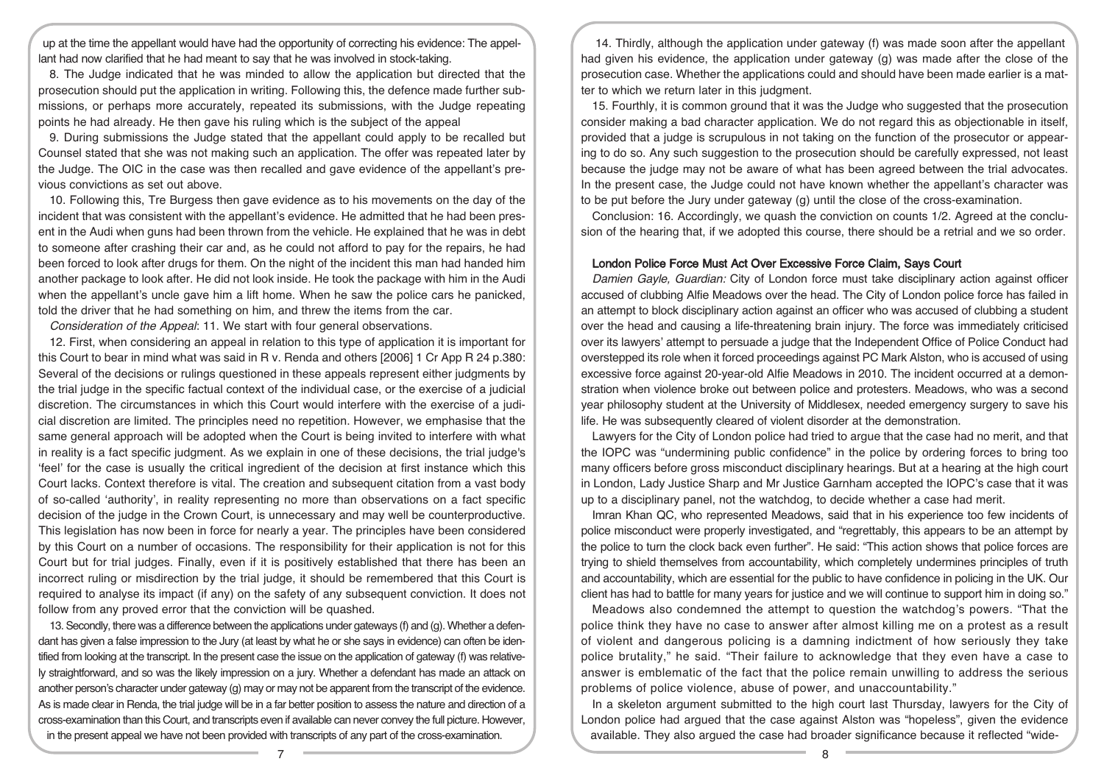up at the time the appellant would have had the opportunity of correcting his evidence: The appellant had now clarified that he had meant to say that he was involved in stock-taking.

8. The Judge indicated that he was minded to allow the application but directed that the prosecution should put the application in writing. Following this, the defence made further submissions, or perhaps more accurately, repeated its submissions, with the Judge repeating points he had already. He then gave his ruling which is the subject of the appeal

9. During submissions the Judge stated that the appellant could apply to be recalled but Counsel stated that she was not making such an application. The offer was repeated later by the Judge. The OIC in the case was then recalled and gave evidence of the appellant's previous convictions as set out above.

10. Following this, Tre Burgess then gave evidence as to his movements on the day of the incident that was consistent with the appellant's evidence. He admitted that he had been present in the Audi when guns had been thrown from the vehicle. He explained that he was in debt to someone after crashing their car and, as he could not afford to pay for the repairs, he had been forced to look after drugs for them. On the night of the incident this man had handed him another package to look after. He did not look inside. He took the package with him in the Audi when the appellant's uncle gave him a lift home. When he saw the police cars he panicked, told the driver that he had something on him, and threw the items from the car.

Consideration of the Appeal: 11. We start with four general observations.

12. First, when considering an appeal in relation to this type of application it is important for this Court to bear in mind what was said in R v. Renda and others [2006] 1 Cr App R 24 p.380: Several of the decisions or rulings questioned in these appeals represent either judgments by the trial judge in the specific factual context of the individual case, or the exercise of a judicial discretion. The circumstances in which this Court would interfere with the exercise of a judicial discretion are limited. The principles need no repetition. However, we emphasise that the same general approach will be adopted when the Court is being invited to interfere with what in reality is a fact specific judgment. As we explain in one of these decisions, the trial judge's 'feel' for the case is usually the critical ingredient of the decision at first instance which this Court lacks. Context therefore is vital. The creation and subsequent citation from a vast body of so-called 'authority', in reality representing no more than observations on a fact specific decision of the judge in the Crown Court, is unnecessary and may well be counterproductive. This legislation has now been in force for nearly a year. The principles have been considered by this Court on a number of occasions. The responsibility for their application is not for this Court but for trial judges. Finally, even if it is positively established that there has been an incorrect ruling or misdirection by the trial judge, it should be remembered that this Court is required to analyse its impact (if any) on the safety of any subsequent conviction. It does not follow from any proved error that the conviction will be quashed.

13.Secondly, there was a difference between the applications under gateways (f) and (g). Whether a defendant has given a false impression to the Jury (at least by what he or she says in evidence) can often be identified from looking at the transcript. In the present case the issue on the application of gateway (f) was relatively straightforward, and so was the likely impression on a jury. Whether a defendant has made an attack on another person's character under gateway (g) may or may not be apparent from the transcript of the evidence. As is made clear in Renda, the trial judge will be in a far better position to assess the nature and direction of a cross-examination than this Court, and transcripts even if available can never convey the full picture. However, in the present appeal we have not been provided with transcripts of any part of the cross-examination.

14. Thirdly, although the application under gateway (f) was made soon after the appellant had given his evidence, the application under gateway (g) was made after the close of the prosecution case. Whether the applications could and should have been made earlier is a matter to which we return later in this judgment.

15. Fourthly, it is common ground that it was the Judge who suggested that the prosecution consider making a bad character application. We do not regard this as objectionable in itself, provided that a judge is scrupulous in not taking on the function of the prosecutor or appearing to do so. Any such suggestion to the prosecution should be carefully expressed, not least because the judge may not be aware of what has been agreed between the trial advocates. In the present case, the Judge could not have known whether the appellant's character was to be put before the Jury under gateway (g) until the close of the cross-examination.

Conclusion: 16. Accordingly, we quash the conviction on counts 1/2. Agreed at the conclusion of the hearing that, if we adopted this course, there should be a retrial and we so order.

#### London Police Force Must Act Over Excessive Force Claim, Says Court

Damien Gayle, Guardian: City of London force must take disciplinary action against officer accused of clubbing Alfie Meadows over the head. The City of London police force has failed in an attempt to block disciplinary action against an officer who was accused of clubbing a student over the head and causing a life-threatening brain injury. The force was immediately criticised over its lawyers' attempt to persuade a judge that the Independent Office of Police Conduct had overstepped its role when it forced proceedings against PC Mark Alston, who is accused of using excessive force against 20-year-old Alfie Meadows in 2010. The incident occurred at a demonstration when violence broke out between police and protesters. Meadows, who was a second year philosophy student at the University of Middlesex, needed emergency surgery to save his life. He was subsequently cleared of violent disorder at the demonstration.

Lawyers for the City of London police had tried to argue that the case had no merit, and that the IOPC was "undermining public confidence" in the police by ordering forces to bring too many officers before gross misconduct disciplinary hearings. But at a hearing at the high court in London, Lady Justice Sharp and Mr Justice Garnham accepted the IOPC's case that it was up to a disciplinary panel, not the watchdog, to decide whether a case had merit.

Imran Khan QC, who represented Meadows, said that in his experience too few incidents of police misconduct were properly investigated, and "regrettably, this appears to be an attempt by the police to turn the clock back even further". He said: "This action shows that police forces are trying to shield themselves from accountability, which completely undermines principles of truth and accountability, which are essential for the public to have confidence in policing in the UK. Our client has had to battle for many years for justice and we will continue to support him in doing so."

Meadows also condemned the attempt to question the watchdog's powers. "That the police think they have no case to answer after almost killing me on a protest as a result of violent and dangerous policing is a damning indictment of how seriously they take police brutality," he said. "Their failure to acknowledge that they even have a case to answer is emblematic of the fact that the police remain unwilling to address the serious problems of police violence, abuse of power, and unaccountability."

In a skeleton argument submitted to the high court last Thursday, lawyers for the City of London police had argued that the case against Alston was "hopeless", given the evidence available. They also argued the case had broader significance because it reflected "wide-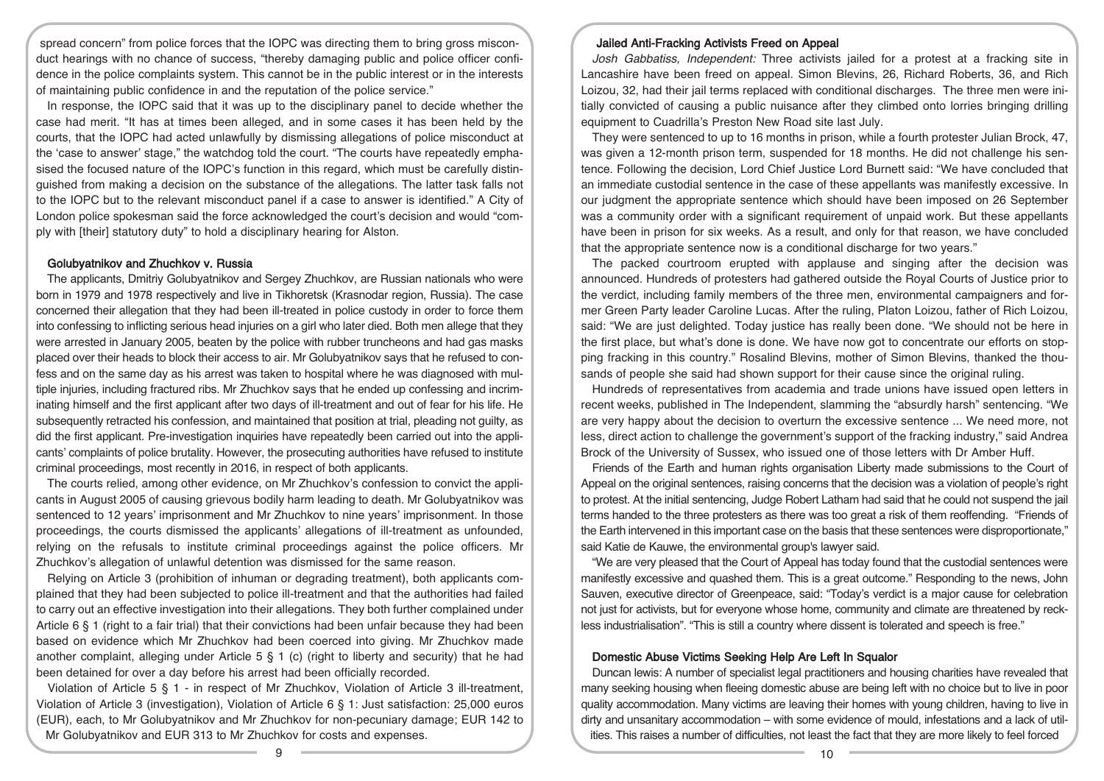spread concern" from police forces that the IOPC was directing them to bring gross misconduct hearings with no chance of success, "thereby damaging public and police officer confidence in the police complaints system. This cannot be in the public interest or in the interests of maintaining public confidence in and the reputation of the police service."

In response, the IOPC said that it was up to the disciplinary panel to decide whether the case had merit. "It has at times been alleged, and in some cases it has been held by the courts, that the IOPC had acted unlawfully by dismissing allegations of police misconduct at the 'case to answer' stage," the watchdog told the court. "The courts have repeatedly emphasised the focused nature of the IOPC's function in this regard, which must be carefully distinguished from making a decision on the substance of the allegations. The latter task falls not to the IOPC but to the relevant misconduct panel if a case to answer is identified." A City of London police spokesman said the force acknowledged the court's decision and would "comply with [their] statutory duty" to hold a disciplinary hearing for Alston.

#### Golubyatnikov and Zhuchkov v. Russia

The applicants, Dmitriy Golubyatnikov and Sergey Zhuchkov, are Russian nationals who were born in 1979 and 1978 respectively and live in Tikhoretsk (Krasnodar region, Russia). The case concerned their allegation that they had been ill-treated in police custody in order to force them into confessing to inflicting serious head injuries on a girl who later died. Both men allege that they were arrested in January 2005, beaten by the police with rubber truncheons and had gas masks placed over their heads to block their access to air. Mr Golubyatnikov says that he refused to confess and on the same day as his arrest was taken to hospital where he was diagnosed with multiple injuries, including fractured ribs. Mr Zhuchkov says that he ended up confessing and incriminating himself and the first applicant after two days of ill-treatment and out of fear for his life. He subsequently retracted his confession, and maintained that position at trial, pleading not guilty, as did the first applicant. Pre-investigation inquiries have repeatedly been carried out into the applicants' complaints of police brutality. However, the prosecuting authorities have refused to institute criminal proceedings, most recently in 2016, in respect of both applicants.

The courts relied, among other evidence, on Mr Zhuchkov's confession to convict the applicants in August 2005 of causing grievous bodily harm leading to death. Mr Golubyatnikov was sentenced to 12 years' imprisonment and Mr Zhuchkov to nine years' imprisonment. In those proceedings, the courts dismissed the applicants' allegations of ill-treatment as unfounded, relying on the refusals to institute criminal proceedings against the police officers. Mr Zhuchkov's allegation of unlawful detention was dismissed for the same reason.

Relying on Article 3 (prohibition of inhuman or degrading treatment), both applicants complained that they had been subjected to police ill-treatment and that the authorities had failed to carry out an effective investigation into their allegations. They both further complained under Article  $6 \nless 1$  (right to a fair trial) that their convictions had been unfair because they had been based on evidence which Mr Zhuchkov had been coerced into giving. Mr Zhuchkov made another complaint, alleging under Article  $5 \xi$  1 (c) (right to liberty and security) that he had been detained for over a day before his arrest had been officially recorded.

Violation of Article 5 § 1 - in respect of Mr Zhuchkov, Violation of Article 3 ill-treatment, Violation of Article 3 (investigation), Violation of Article 6 § 1: Just satisfaction: 25,000 euros (EUR), each, to Mr Golubyatnikov and Mr Zhuchkov for non-pecuniary damage; EUR 142 to Mr Golubyatnikov and EUR 313 to Mr Zhuchkov for costs and expenses.

#### Jailed Anti-Fracking Activists Freed on Appeal

Josh Gabbatiss, Independent: Three activists jailed for a protest at a fracking site in Lancashire have been freed on appeal. Simon Blevins, 26, Richard Roberts, 36, and Rich Loizou, 32, had their jail terms replaced with conditional discharges. The three men were initially convicted of causing a public nuisance after they climbed onto lorries bringing drilling equipment to Cuadrilla's Preston New Road site last July.

They were sentenced to up to 16 months in prison, while a fourth protester Julian Brock, 47, was given a 12-month prison term, suspended for 18 months. He did not challenge his sentence. Following the decision, Lord Chief Justice Lord Burnett said: "We have concluded that an immediate custodial sentence in the case of these appellants was manifestly excessive. In our judgment the appropriate sentence which should have been imposed on 26 September was a community order with a significant requirement of unpaid work. But these appellants have been in prison for six weeks. As a result, and only for that reason, we have concluded that the appropriate sentence now is a conditional discharge for two years."

The packed courtroom erupted with applause and singing after the decision was announced. Hundreds of protesters had gathered outside the Royal Courts of Justice prior to the verdict, including family members of the three men, environmental campaigners and former Green Party leader Caroline Lucas. After the ruling, Platon Loizou, father of Rich Loizou, said: "We are just delighted. Today justice has really been done. "We should not be here in the first place, but what's done is done. We have now got to concentrate our efforts on stopping fracking in this country." Rosalind Blevins, mother of Simon Blevins, thanked the thousands of people she said had shown support for their cause since the original ruling.

Hundreds of representatives from academia and trade unions have issued open letters in recent weeks, published in The Independent, slamming the "absurdly harsh" sentencing. "We are very happy about the decision to overturn the excessive sentence ... We need more, not less, direct action to challenge the government's support of the fracking industry," said Andrea Brock of the University of Sussex, who issued one of those letters with Dr Amber Huff.

Friends of the Earth and human rights organisation Liberty made submissions to the Court of Appeal on the original sentences, raising concerns that the decision was a violation of people's right to protest. At the initial sentencing, Judge Robert Latham had said that he could not suspend the jail terms handed to the three protesters as there was too great a risk of them reoffending. "Friends of the Earth intervened in this important case on the basis that these sentences were disproportionate," said Katie de Kauwe, the environmental group's lawyer said.

"We are very pleased that the Court of Appeal has today found that the custodial sentences were manifestly excessive and quashed them. This is a great outcome." Responding to the news, John Sauven, executive director of Greenpeace, said: "Today's verdict is a major cause for celebration not just for activists, but for everyone whose home, community and climate are threatened by reckless industrialisation". "This is still a country where dissent is tolerated and speech is free."

#### Domestic Abuse Victims Seeking Help Are Left In Squalor

Duncan lewis: A number of specialist legal practitioners and housing charities have revealed that many seeking housing when fleeing domestic abuse are being left with no choice but to live in poor quality accommodation. Many victims are leaving their homes with young children, having to live in dirty and unsanitary accommodation – with some evidence of mould, infestations and a lack of utilities. This raises a number of difficulties, not least the fact that they are more likely to feel forced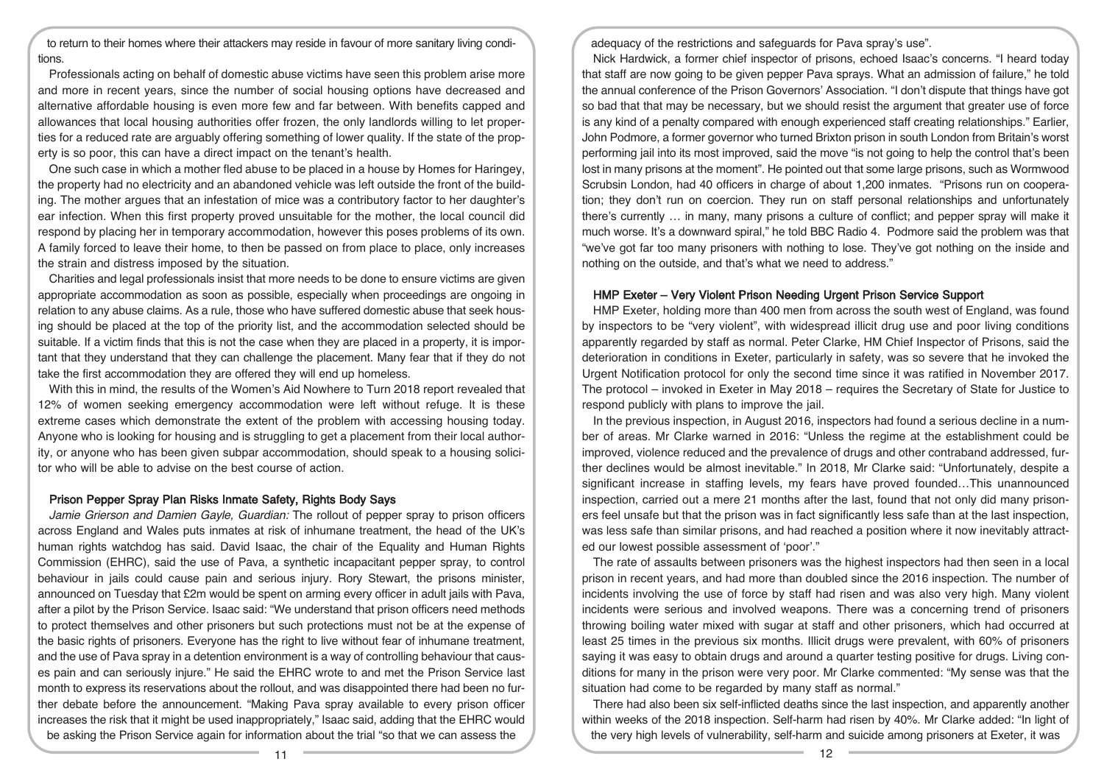to return to their homes where their attackers may reside in favour of more sanitary living conditions.

Professionals acting on behalf of domestic abuse victims have seen this problem arise more and more in recent years, since the number of social housing options have decreased and alternative affordable housing is even more few and far between. With benefits capped and allowances that local housing authorities offer frozen, the only landlords willing to let properties for a reduced rate are arguably offering something of lower quality. If the state of the property is so poor, this can have a direct impact on the tenant's health.

One such case in which a mother fled abuse to be placed in a house by Homes for Haringey, the property had no electricity and an abandoned vehicle was left outside the front of the building. The mother argues that an infestation of mice was a contributory factor to her daughter's ear infection. When this first property proved unsuitable for the mother, the local council did respond by placing her in temporary accommodation, however this poses problems of its own. A family forced to leave their home, to then be passed on from place to place, only increases the strain and distress imposed by the situation.

Charities and legal professionals insist that more needs to be done to ensure victims are given appropriate accommodation as soon as possible, especially when proceedings are ongoing in relation to any abuse claims. As a rule, those who have suffered domestic abuse that seek housing should be placed at the top of the priority list, and the accommodation selected should be suitable. If a victim finds that this is not the case when they are placed in a property, it is important that they understand that they can challenge the placement. Many fear that if they do not take the first accommodation they are offered they will end up homeless.

With this in mind, the results of the Women's Aid Nowhere to Turn 2018 report revealed that 12% of women seeking emergency accommodation were left without refuge. It is these extreme cases which demonstrate the extent of the problem with accessing housing today. Anyone who is looking for housing and is struggling to get a placement from their local authority, or anyone who has been given subpar accommodation, should speak to a housing solicitor who will be able to advise on the best course of action.

# Prison Pepper Spray Plan Risks Inmate Safety, Rights Body Says

Jamie Grierson and Damien Gayle, Guardian: The rollout of pepper spray to prison officers across England and Wales puts inmates at risk of inhumane treatment, the head of the UK's human rights watchdog has said. David Isaac, the chair of the Equality and Human Rights Commission (EHRC), said the use of Pava, a synthetic incapacitant pepper spray, to control behaviour in jails could cause pain and serious injury. Rory Stewart, the prisons minister, announced on Tuesday that £2m would be spent on arming every officer in adult jails with Pava, after a pilot by the Prison Service. Isaac said: "We understand that prison officers need methods to protect themselves and other prisoners but such protections must not be at the expense of the basic rights of prisoners. Everyone has the right to live without fear of inhumane treatment, and the use of Pava spray in a detention environment is a way of controlling behaviour that causes pain and can seriously injure." He said the EHRC wrote to and met the Prison Service last month to express its reservations about the rollout, and was disappointed there had been no further debate before the announcement. "Making Pava spray available to every prison officer increases the risk that it might be used inappropriately," Isaac said, adding that the EHRC would be asking the Prison Service again for information about the trial "so that we can assess the

adequacy of the restrictions and safeguards for Pava spray's use".

Nick Hardwick, a former chief inspector of prisons, echoed Isaac's concerns. "I heard today that staff are now going to be given pepper Pava sprays. What an admission of failure," he told the annual conference of the Prison Governors' Association. "I don't dispute that things have got so bad that that may be necessary, but we should resist the argument that greater use of force is any kind of a penalty compared with enough experienced staff creating relationships." Earlier, John Podmore, a former governor who turned Brixton prison in south London from Britain's worst performing jail into its most improved, said the move "is not going to help the control that's been lost in many prisons at the moment". He pointed out that some large prisons, such as Wormwood Scrubsin London, had 40 officers in charge of about 1,200 inmates. "Prisons run on cooperation; they don't run on coercion. They run on staff personal relationships and unfortunately there's currently … in many, many prisons a culture of conflict; and pepper spray will make it much worse. It's a downward spiral," he told BBC Radio 4. Podmore said the problem was that "we've got far too many prisoners with nothing to lose. They've got nothing on the inside and nothing on the outside, and that's what we need to address."

#### HMP Exeter – Very Violent Prison Needing Urgent Prison Service Support

HMP Exeter, holding more than 400 men from across the south west of England, was found by inspectors to be "very violent", with widespread illicit drug use and poor living conditions apparently regarded by staff as normal. Peter Clarke, HM Chief Inspector of Prisons, said the deterioration in conditions in Exeter, particularly in safety, was so severe that he invoked the Urgent Notification protocol for only the second time since it was ratified in November 2017. The protocol – invoked in Exeter in May 2018 – requires the Secretary of State for Justice to respond publicly with plans to improve the jail.

In the previous inspection, in August 2016, inspectors had found a serious decline in a number of areas. Mr Clarke warned in 2016: "Unless the regime at the establishment could be improved, violence reduced and the prevalence of drugs and other contraband addressed, further declines would be almost inevitable." In 2018, Mr Clarke said: "Unfortunately, despite a significant increase in staffing levels, my fears have proved founded…This unannounced inspection, carried out a mere 21 months after the last, found that not only did many prisoners feel unsafe but that the prison was in fact significantly less safe than at the last inspection, was less safe than similar prisons, and had reached a position where it now inevitably attracted our lowest possible assessment of 'poor'."

The rate of assaults between prisoners was the highest inspectors had then seen in a local prison in recent years, and had more than doubled since the 2016 inspection. The number of incidents involving the use of force by staff had risen and was also very high. Many violent incidents were serious and involved weapons. There was a concerning trend of prisoners throwing boiling water mixed with sugar at staff and other prisoners, which had occurred at least 25 times in the previous six months. Illicit drugs were prevalent, with 60% of prisoners saying it was easy to obtain drugs and around a quarter testing positive for drugs. Living conditions for many in the prison were very poor. Mr Clarke commented: "My sense was that the situation had come to be regarded by many staff as normal."

There had also been six self-inflicted deaths since the last inspection, and apparently another within weeks of the 2018 inspection. Self-harm had risen by 40%. Mr Clarke added: "In light of the very high levels of vulnerability, self-harm and suicide among prisoners at Exeter, it was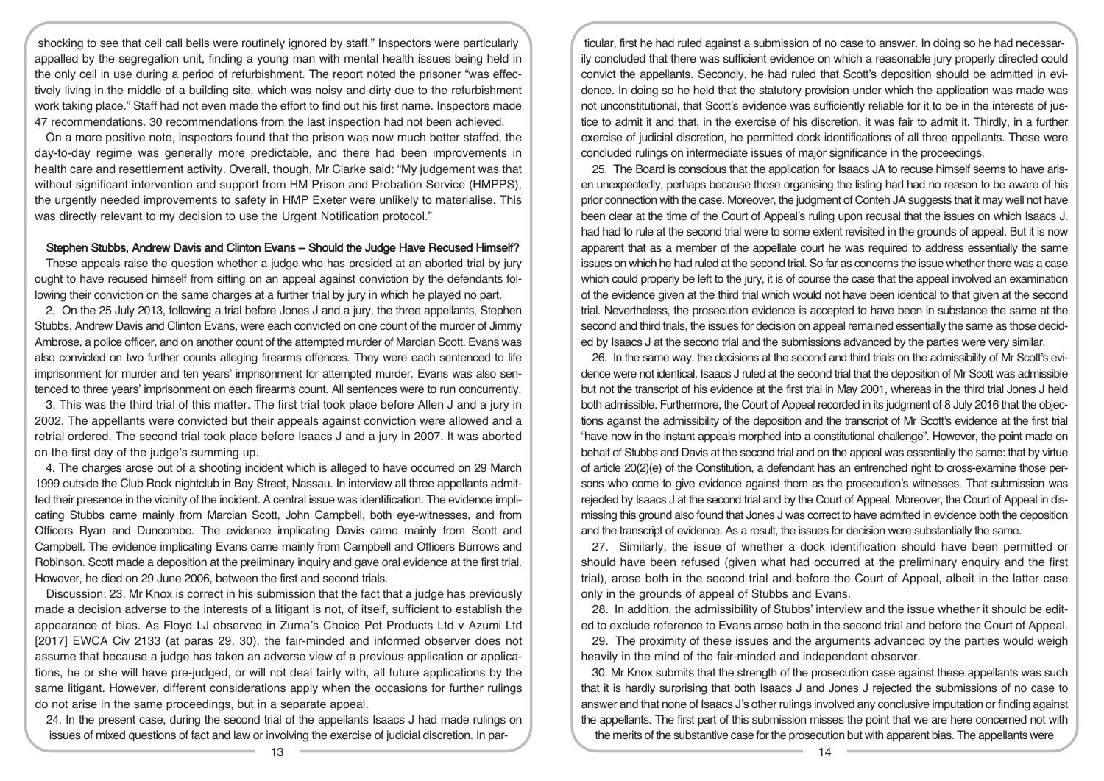shocking to see that cell call bells were routinely ignored by staff." Inspectors were particularly appalled by the segregation unit, finding a young man with mental health issues being held in the only cell in use during a period of refurbishment. The report noted the prisoner "was effectively living in the middle of a building site, which was noisy and dirty due to the refurbishment work taking place." Staff had not even made the effort to find out his first name. Inspectors made 47 recommendations. 30 recommendations from the last inspection had not been achieved.

On a more positive note, inspectors found that the prison was now much better staffed, the day-to-day regime was generally more predictable, and there had been improvements in health care and resettlement activity. Overall, though, Mr Clarke said: "My judgement was that without significant intervention and support from HM Prison and Probation Service (HMPPS), the urgently needed improvements to safety in HMP Exeter were unlikely to materialise. This was directly relevant to my decision to use the Urgent Notification protocol."

#### Stephen Stubbs, Andrew Davis and Clinton Evans – Should the Judge Have Recused Himself?

These appeals raise the question whether a judge who has presided at an aborted trial by jury ought to have recused himself from sitting on an appeal against conviction by the defendants following their conviction on the same charges at a further trial by jury in which he played no part.

2. On the 25 July 2013, following a trial before Jones J and a jury, the three appellants, Stephen Stubbs, Andrew Davis and Clinton Evans, were each convicted on one count of the murder of Jimmy Ambrose, a police officer, and on another count of the attempted murder of Marcian Scott. Evans was also convicted on two further counts alleging firearms offences. They were each sentenced to life imprisonment for murder and ten years' imprisonment for attempted murder. Evans was also sentenced to three years' imprisonment on each firearms count. All sentences were to run concurrently.

3. This was the third trial of this matter. The first trial took place before Allen J and a jury in 2002. The appellants were convicted but their appeals against conviction were allowed and a retrial ordered. The second trial took place before Isaacs J and a jury in 2007. It was aborted on the first day of the judge's summing up.

4. The charges arose out of a shooting incident which is alleged to have occurred on 29 March 1999 outside the Club Rock nightclub in Bay Street, Nassau. In interview all three appellants admitted their presence in the vicinity of the incident. A central issue was identification. The evidence implicating Stubbs came mainly from Marcian Scott, John Campbell, both eye-witnesses, and from Officers Ryan and Duncombe. The evidence implicating Davis came mainly from Scott and Campbell. The evidence implicating Evans came mainly from Campbell and Officers Burrows and Robinson. Scott made a deposition at the preliminary inquiry and gave oral evidence at the first trial. However, he died on 29 June 2006, between the first and second trials.

Discussion: 23. Mr Knox is correct in his submission that the fact that a judge has previously made a decision adverse to the interests of a litigant is not, of itself, sufficient to establish the appearance of bias. As Floyd LJ observed in Zuma's Choice Pet Products Ltd v Azumi Ltd [2017] EWCA Civ 2133 (at paras 29, 30), the fair-minded and informed observer does not assume that because a judge has taken an adverse view of a previous application or applications, he or she will have pre-judged, or will not deal fairly with, all future applications by the same litigant. However, different considerations apply when the occasions for further rulings do not arise in the same proceedings, but in a separate appeal.

24. In the present case, during the second trial of the appellants Isaacs J had made rulings on issues of mixed questions of fact and law or involving the exercise of judicial discretion. In par-

ticular, first he had ruled against a submission of no case to answer. In doing so he had necessarily concluded that there was sufficient evidence on which a reasonable jury properly directed could convict the appellants. Secondly, he had ruled that Scott's deposition should be admitted in evidence. In doing so he held that the statutory provision under which the application was made was not unconstitutional, that Scott's evidence was sufficiently reliable for it to be in the interests of justice to admit it and that, in the exercise of his discretion, it was fair to admit it. Thirdly, in a further exercise of judicial discretion, he permitted dock identifications of all three appellants. These were concluded rulings on intermediate issues of major significance in the proceedings.

25. The Board is conscious that the application for Isaacs JA to recuse himself seems to have arisen unexpectedly, perhaps because those organising the listing had had no reason to be aware of his prior connection with the case. Moreover, the judgment of Conteh JA suggests that it may well not have been clear at the time of the Court of Appeal's ruling upon recusal that the issues on which Isaacs J. had had to rule at the second trial were to some extent revisited in the grounds of appeal. But it is now apparent that as a member of the appellate court he was required to address essentially the same issues on which he had ruled at the second trial. So far as concerns the issue whether there was a case which could properly be left to the jury, it is of course the case that the appeal involved an examination of the evidence given at the third trial which would not have been identical to that given at the second trial. Nevertheless, the prosecution evidence is accepted to have been in substance the same at the second and third trials, the issues for decision on appeal remained essentially the same as those decided by Isaacs J at the second trial and the submissions advanced by the parties were very similar.

26. In the same way, the decisions at the second and third trials on the admissibility of Mr Scott's evidence were not identical. Isaacs J ruled at the second trial that the deposition of Mr Scott was admissible but not the transcript of his evidence at the first trial in May 2001, whereas in the third trial Jones J held both admissible. Furthermore, the Court of Appeal recorded in its judgment of 8 July 2016 that the objections against the admissibility of the deposition and the transcript of Mr Scott's evidence at the first trial "have now in the instant appeals morphed into a constitutional challenge". However, the point made on behalf of Stubbs and Davis at the second trial and on the appeal was essentially the same: that by virtue of article 20(2)(e) of the Constitution, a defendant has an entrenched right to cross-examine those persons who come to give evidence against them as the prosecution's witnesses. That submission was rejected by Isaacs J at the second trial and by the Court of Appeal. Moreover, the Court of Appeal in dismissing this ground also found that Jones J was correct to have admitted in evidence both the deposition and the transcript of evidence. As a result, the issues for decision were substantially the same.

27. Similarly, the issue of whether a dock identification should have been permitted or should have been refused (given what had occurred at the preliminary enquiry and the first trial), arose both in the second trial and before the Court of Appeal, albeit in the latter case only in the grounds of appeal of Stubbs and Evans.

28. In addition, the admissibility of Stubbs' interview and the issue whether it should be edited to exclude reference to Evans arose both in the second trial and before the Court of Appeal.

29. The proximity of these issues and the arguments advanced by the parties would weigh heavily in the mind of the fair-minded and independent observer.

30. Mr Knox submits that the strength of the prosecution case against these appellants was such that it is hardly surprising that both Isaacs J and Jones J rejected the submissions of no case to answer and that none of Isaacs J's other rulings involved any conclusive imputation or finding against the appellants. The first part of this submission misses the point that we are here concerned not with the merits of the substantive case for the prosecution but with apparent bias. The appellants were